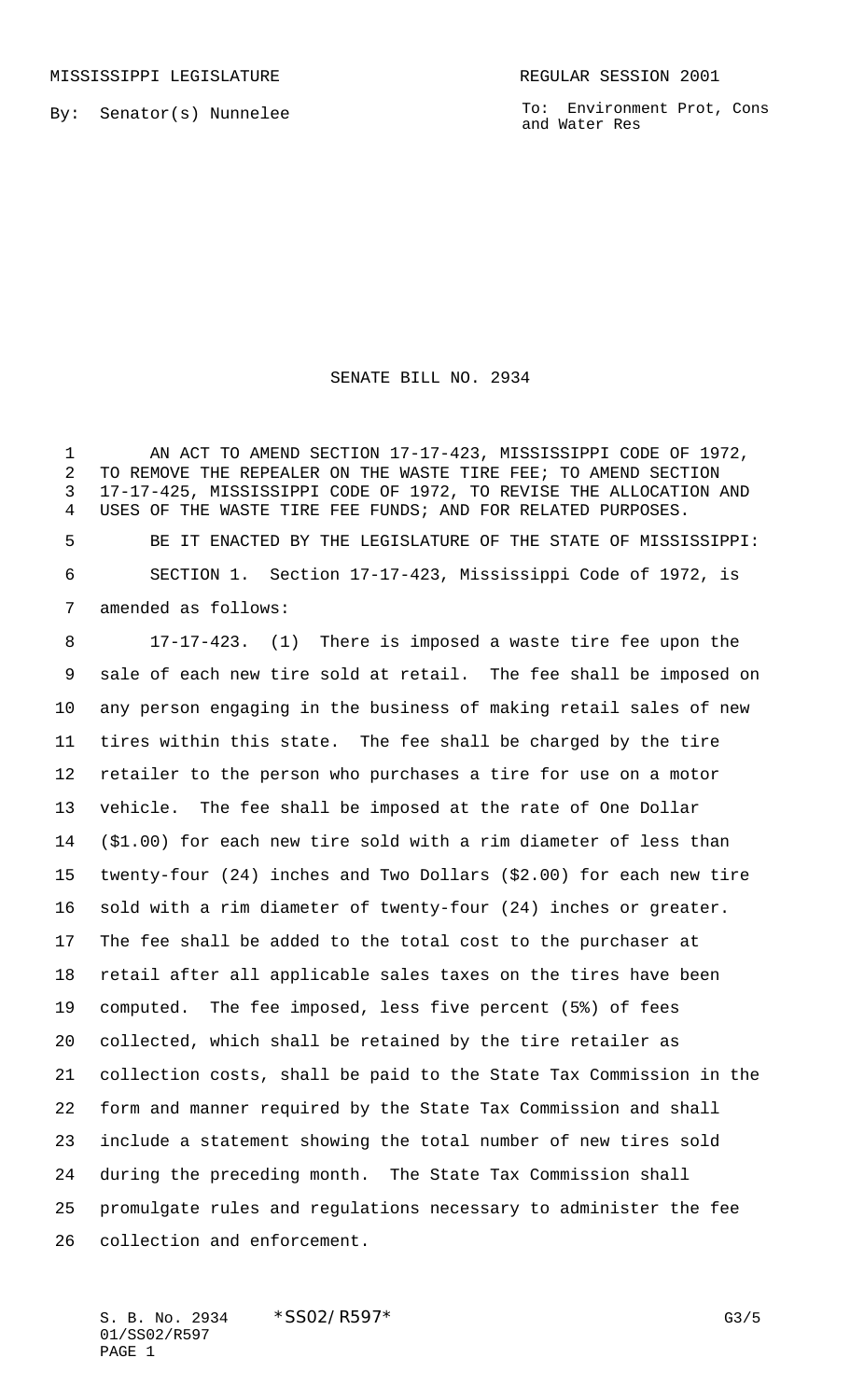MISSISSIPPI LEGISLATURE **REGULAR SESSION 2001** 

By: Senator(s) Nunnelee

To: Environment Prot, Cons and Water Res

## SENATE BILL NO. 2934

1 AN ACT TO AMEND SECTION 17-17-423, MISSISSIPPI CODE OF 1972, TO REMOVE THE REPEALER ON THE WASTE TIRE FEE; TO AMEND SECTION 17-17-425, MISSISSIPPI CODE OF 1972, TO REVISE THE ALLOCATION AND USES OF THE WASTE TIRE FEE FUNDS; AND FOR RELATED PURPOSES. BE IT ENACTED BY THE LEGISLATURE OF THE STATE OF MISSISSIPPI: SECTION 1. Section 17-17-423, Mississippi Code of 1972, is

amended as follows:

 17-17-423. (1) There is imposed a waste tire fee upon the sale of each new tire sold at retail. The fee shall be imposed on any person engaging in the business of making retail sales of new tires within this state. The fee shall be charged by the tire retailer to the person who purchases a tire for use on a motor vehicle. The fee shall be imposed at the rate of One Dollar (\$1.00) for each new tire sold with a rim diameter of less than twenty-four (24) inches and Two Dollars (\$2.00) for each new tire sold with a rim diameter of twenty-four (24) inches or greater. The fee shall be added to the total cost to the purchaser at retail after all applicable sales taxes on the tires have been computed. The fee imposed, less five percent (5%) of fees collected, which shall be retained by the tire retailer as collection costs, shall be paid to the State Tax Commission in the form and manner required by the State Tax Commission and shall include a statement showing the total number of new tires sold during the preceding month. The State Tax Commission shall promulgate rules and regulations necessary to administer the fee collection and enforcement.

S. B. No. 2934 \* SSO2/R597\* G3/5 01/SS02/R597 PAGE 1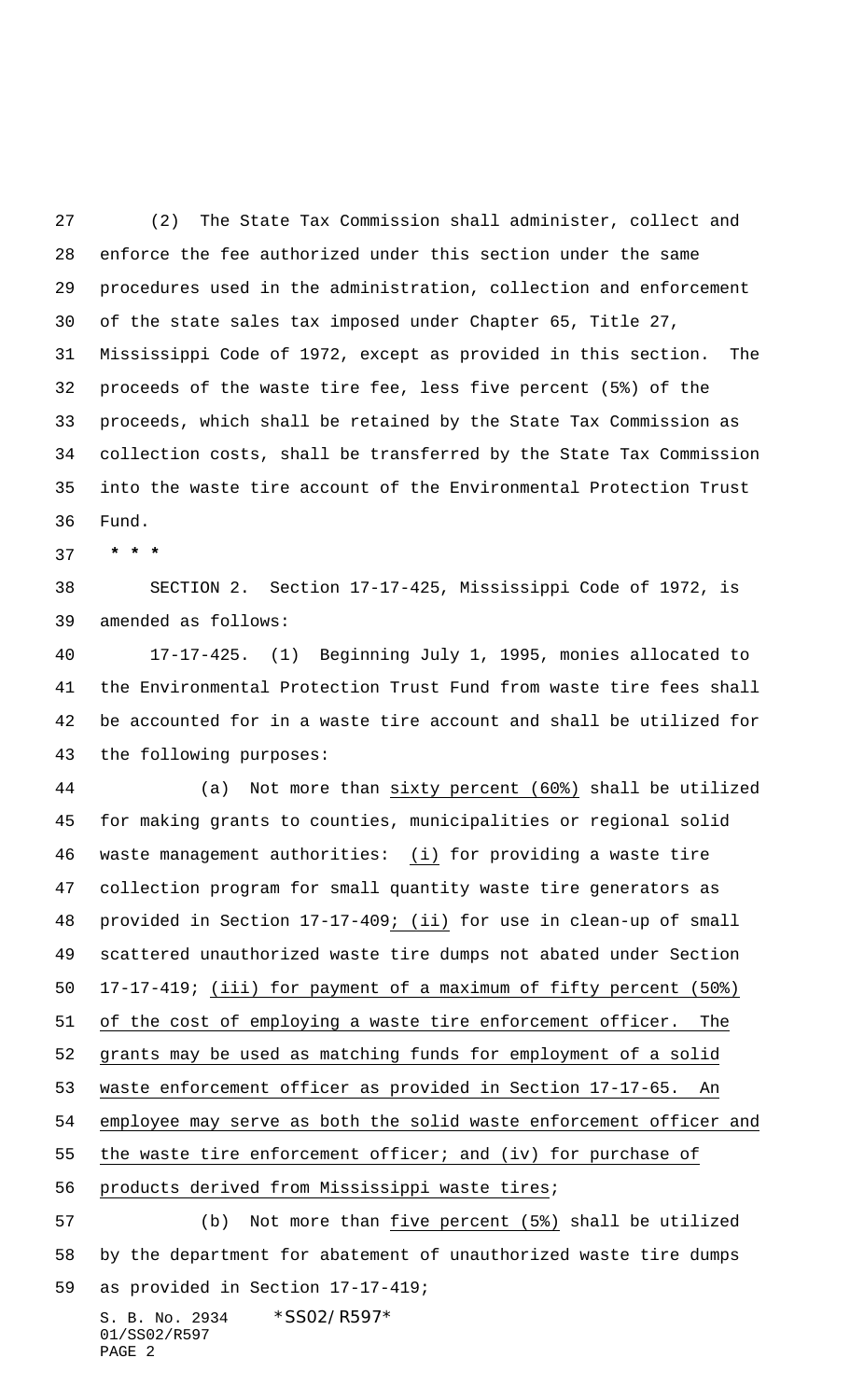(2) The State Tax Commission shall administer, collect and enforce the fee authorized under this section under the same procedures used in the administration, collection and enforcement of the state sales tax imposed under Chapter 65, Title 27, Mississippi Code of 1972, except as provided in this section. The proceeds of the waste tire fee, less five percent (5%) of the proceeds, which shall be retained by the State Tax Commission as collection costs, shall be transferred by the State Tax Commission into the waste tire account of the Environmental Protection Trust Fund.

 **\* \* \***

 SECTION 2. Section 17-17-425, Mississippi Code of 1972, is amended as follows:

 17-17-425. (1) Beginning July 1, 1995, monies allocated to the Environmental Protection Trust Fund from waste tire fees shall be accounted for in a waste tire account and shall be utilized for the following purposes:

 (a) Not more than sixty percent (60%) shall be utilized for making grants to counties, municipalities or regional solid waste management authorities: (i) for providing a waste tire collection program for small quantity waste tire generators as provided in Section 17-17-409; (ii) for use in clean-up of small scattered unauthorized waste tire dumps not abated under Section 17-17-419; (iii) for payment of a maximum of fifty percent (50%) 51 of the cost of employing a waste tire enforcement officer. The grants may be used as matching funds for employment of a solid waste enforcement officer as provided in Section 17-17-65. An employee may serve as both the solid waste enforcement officer and the waste tire enforcement officer; and (iv) for purchase of products derived from Mississippi waste tires; (b) Not more than five percent (5%) shall be utilized

 by the department for abatement of unauthorized waste tire dumps as provided in Section 17-17-419;

S. B. No. 2934 \* SS02/R597\* 01/SS02/R597 PAGE 2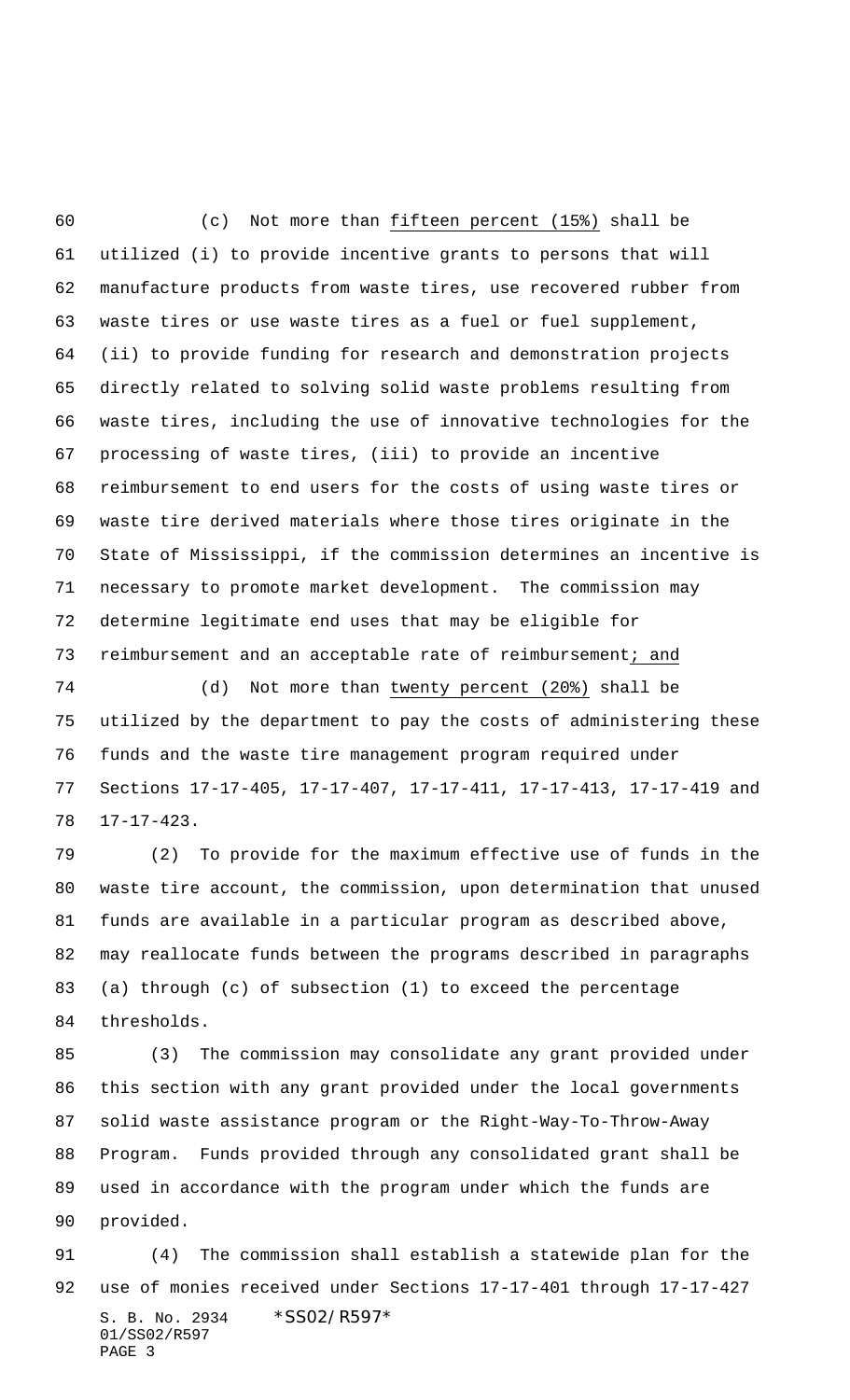(c) Not more than fifteen percent (15%) shall be utilized (i) to provide incentive grants to persons that will manufacture products from waste tires, use recovered rubber from waste tires or use waste tires as a fuel or fuel supplement, (ii) to provide funding for research and demonstration projects directly related to solving solid waste problems resulting from waste tires, including the use of innovative technologies for the processing of waste tires, (iii) to provide an incentive reimbursement to end users for the costs of using waste tires or waste tire derived materials where those tires originate in the State of Mississippi, if the commission determines an incentive is necessary to promote market development. The commission may determine legitimate end uses that may be eligible for 73 reimbursement and an acceptable rate of reimbursement; and

 (d) Not more than twenty percent (20%) shall be utilized by the department to pay the costs of administering these funds and the waste tire management program required under Sections 17-17-405, 17-17-407, 17-17-411, 17-17-413, 17-17-419 and 17-17-423.

 (2) To provide for the maximum effective use of funds in the waste tire account, the commission, upon determination that unused funds are available in a particular program as described above, may reallocate funds between the programs described in paragraphs (a) through (c) of subsection (1) to exceed the percentage thresholds.

 (3) The commission may consolidate any grant provided under this section with any grant provided under the local governments solid waste assistance program or the Right-Way-To-Throw-Away Program. Funds provided through any consolidated grant shall be used in accordance with the program under which the funds are provided.

S. B. No. 2934 \* SS02/R597\* 01/SS02/R597 PAGE 3 (4) The commission shall establish a statewide plan for the use of monies received under Sections 17-17-401 through 17-17-427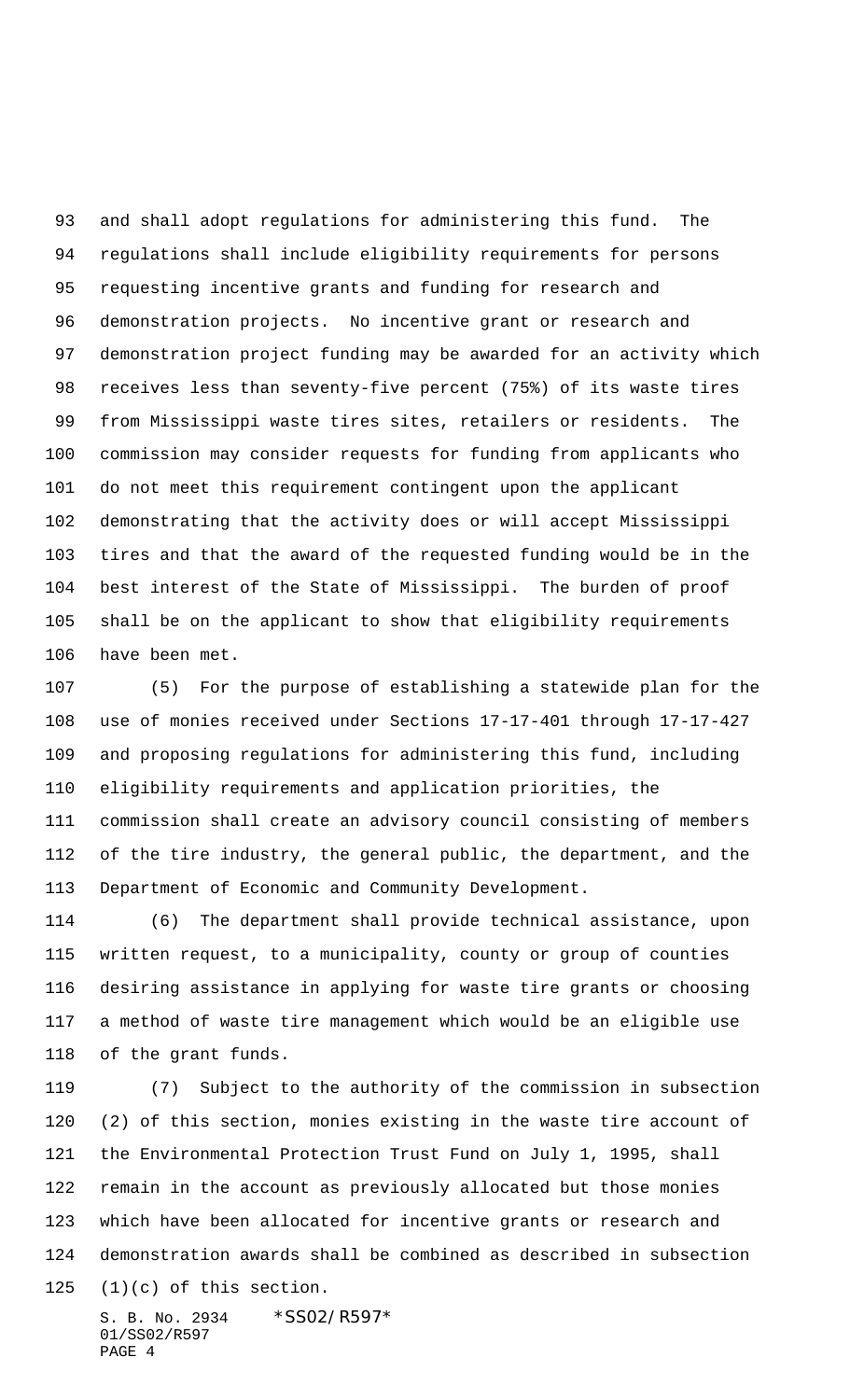and shall adopt regulations for administering this fund. The regulations shall include eligibility requirements for persons requesting incentive grants and funding for research and demonstration projects. No incentive grant or research and demonstration project funding may be awarded for an activity which receives less than seventy-five percent (75%) of its waste tires from Mississippi waste tires sites, retailers or residents. The commission may consider requests for funding from applicants who do not meet this requirement contingent upon the applicant demonstrating that the activity does or will accept Mississippi tires and that the award of the requested funding would be in the best interest of the State of Mississippi. The burden of proof shall be on the applicant to show that eligibility requirements have been met.

 (5) For the purpose of establishing a statewide plan for the use of monies received under Sections 17-17-401 through 17-17-427 and proposing regulations for administering this fund, including eligibility requirements and application priorities, the commission shall create an advisory council consisting of members of the tire industry, the general public, the department, and the Department of Economic and Community Development.

 (6) The department shall provide technical assistance, upon written request, to a municipality, county or group of counties desiring assistance in applying for waste tire grants or choosing a method of waste tire management which would be an eligible use of the grant funds.

 (7) Subject to the authority of the commission in subsection (2) of this section, monies existing in the waste tire account of the Environmental Protection Trust Fund on July 1, 1995, shall remain in the account as previously allocated but those monies which have been allocated for incentive grants or research and demonstration awards shall be combined as described in subsection (1)(c) of this section.

S. B. No. 2934 \* SS02/R597\* 01/SS02/R597 PAGE 4